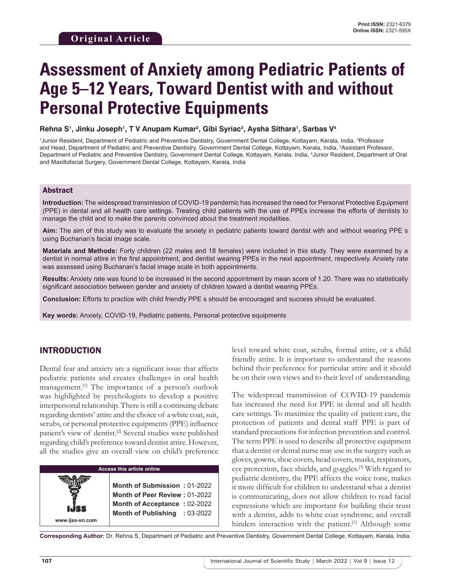# **Assessment of Anxiety among Pediatric Patients of Age 5–12 Years, Toward Dentist with and without Personal Protective Equipments**

**Rehna S1 , Jinku Joseph1 , T V Anupam Kumar2 , Gibi Syriac3 , Aysha Sithara1 , Sarbas V4**

<sup>1</sup>Junior Resident, Department of Pediatric and Preventive Dentistry, Government Dental College, Kottayam, Kerala, India, <sup>2</sup>Professor and Head, Department of Pediatric and Preventive Dentistry, Government Dental College, Kottayam, Kerala, India, 3 Assistant Professor, Department of Pediatric and Preventive Dentistry, Government Dental College, Kottayam, Kerala, India, 4 Junior Resident, Department of Oral and Maxillofacial Surgery, Government Dental College, Kottayam, Kerala, India

### Abstract

**Introduction:** The widespread transmission of COVID-19 pandemic has increased the need for Personal Protective Equipment (PPE) in dental and all health care settings. Treating child patients with the use of PPEs increase the efforts of dentists to manage the child and to make the parents convinced about the treatment modalities.

**Aim:** The aim of this study was to evaluate the anxiety in pediatric patients toward dentist with and without wearing PPE s using Buchanan's facial image scale.

**Materials and Methods:** Forty children (22 males and 18 females) were included in this study. They were examined by a dentist in normal attire in the first appointment, and dentist wearing PPEs in the next appointment, respectively. Anxiety rate was assessed using Buchanan's facial image scale in both appointments.

**Results:** Anxiety rate was found to be increased in the second appointment by mean score of 1.20. There was no statistically significant association between gender and anxiety of children toward a dentist wearing PPEs.

**Conclusion:** Efforts to practice with child friendly PPE s should be encouraged and success should be evaluated.

**Key words:** Anxiety, COVID-19, Pediatric patients, Personal protective equipments

# INTRODUCTION

Dental fear and anxiety are a significant issue that affects pediatric patients and creates challenges in oral health management.<sup>[1]</sup> The importance of a person's outlook was highlighted by psychologists to develop a positive interpersonal relationship. There is still a continuing debate regarding dentists' attire and the choice of a white coat, suit, scrubs, or personal protective equipments (PPE) influence patient's view of dentist.<sup>[2]</sup> Several studies were published regarding child's preference toward dentist attire. However, all the studies give an overall view on child's preference

| <b>Access this article online</b> |                                                                                               |  |  |
|-----------------------------------|-----------------------------------------------------------------------------------------------|--|--|
| IJSS                              | Month of Submission: 01-2022<br>Month of Peer Review: 01-2022<br>Month of Acceptance: 02-2022 |  |  |
|                                   | Month of Publishing : 03-2022                                                                 |  |  |
| www.ijss-sn.com                   |                                                                                               |  |  |

level toward white coat, scrubs, formal attire, or a child friendly attire. It is important to understand the reasons behind their preference for particular attire and it should be on their own views and to their level of understanding.

The widespread transmission of COVID-19 pandemic has increased the need for PPE in dental and all health care settings. To maximize the quality of patient care, the protection of patients and dental staff PPE is part of standard precautions for infection prevention and control. The term PPE is used to describe all protective equipment that a dentist or dental nurse may use in the surgery such as gloves, gowns, shoe covers, head covers, masks, respirators, eye protection, face shields, and goggles.[3] With regard to pediatric dentistry, the PPE affects the voice tone, makes it more difficult for children to understand what a dentist is communicating, does not allow children to read facial expressions which are important for building their trust with a dentist, adds to white coat syndrome, and overall hinders interaction with the patient.<sup>[1]</sup> Although some

**Corresponding Author:** Dr. Rehna S, Department of Pediatric and Preventive Dentistry, Government Dental College, Kottayam, Kerala, India.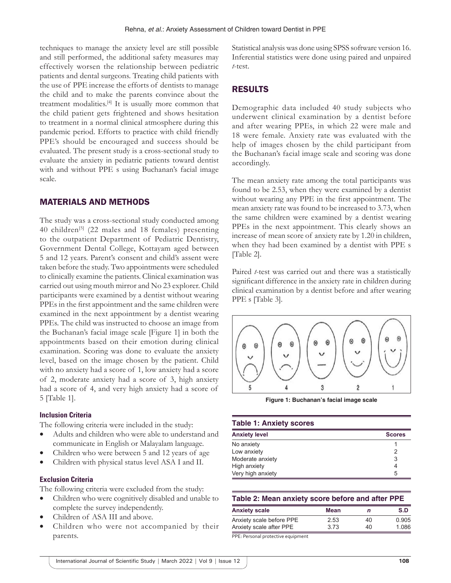techniques to manage the anxiety level are still possible and still performed, the additional safety measures may effectively worsen the relationship between pediatric patients and dental surgeons. Treating child patients with the use of PPE increase the efforts of dentists to manage the child and to make the parents convince about the treatment modalities.[4] It is usually more common that the child patient gets frightened and shows hesitation to treatment in a normal clinical atmosphere during this pandemic period. Efforts to practice with child friendly PPE's should be encouraged and success should be evaluated. The present study is a cross-sectional study to evaluate the anxiety in pediatric patients toward dentist with and without PPE s using Buchanan's facial image scale.

## MATERIALS AND METHODS

The study was a cross-sectional study conducted among 40 children<sup>[5]</sup> (22 males and 18 females) presenting to the outpatient Department of Pediatric Dentistry, Government Dental College, Kottayam aged between 5 and 12 years. Parent's consent and child's assent were taken before the study. Two appointments were scheduled to clinically examine the patients. Clinical examination was carried out using mouth mirror and No 23 explorer. Child participants were examined by a dentist without wearing PPEs in the first appointment and the same children were examined in the next appointment by a dentist wearing PPEs. The child was instructed to choose an image from the Buchanan's facial image scale [Figure 1] in both the appointments based on their emotion during clinical examination. Scoring was done to evaluate the anxiety level, based on the image chosen by the patient. Child with no anxiety had a score of 1, low anxiety had a score of 2, moderate anxiety had a score of 3, high anxiety had a score of 4, and very high anxiety had a score of 5 [Table 1].

#### **Inclusion Criteria**

The following criteria were included in the study:

- Adults and children who were able to understand and communicate in English or Malayalam language.
- Children who were between 5 and 12 years of age
- Children with physical status level ASA I and II.

#### **Exclusion Criteria**

The following criteria were excluded from the study:

- Children who were cognitively disabled and unable to complete the survey independently.
- Children of ASA III and above.
- Children who were not accompanied by their parents.

Statistical analysis was done using SPSS software version 16. Inferential statistics were done using paired and unpaired *t*-test.

## RESULTS

Demographic data included 40 study subjects who underwent clinical examination by a dentist before and after wearing PPEs, in which 22 were male and 18 were female. Anxiety rate was evaluated with the help of images chosen by the child participant from the Buchanan's facial image scale and scoring was done accordingly.

The mean anxiety rate among the total participants was found to be 2.53, when they were examined by a dentist without wearing any PPE in the first appointment. The mean anxiety rate was found to be increased to 3.73, when the same children were examined by a dentist wearing PPEs in the next appointment. This clearly shows an increase of mean score of anxiety rate by 1.20 in children, when they had been examined by a dentist with PPE s [Table 2].

Paired *t*-test was carried out and there was a statistically significant difference in the anxiety rate in children during clinical examination by a dentist before and after wearing PPE s [Table 3].



**Figure 1: Buchanan's facial image scale**

#### **Table 1: Anxiety scores**

| <b>Anxiety level</b> | <b>Scores</b> |
|----------------------|---------------|
| No anxiety           |               |
| Low anxiety          |               |
| Moderate anxiety     |               |
| High anxiety         |               |
| Very high anxiety    | 5             |

| Table 2: Mean anxiety score before and after PPE |      |    |       |  |
|--------------------------------------------------|------|----|-------|--|
| <b>Anxiety scale</b>                             | Mean | n  | S.D   |  |
| Anxiety scale before PPE                         | 2.53 | 40 | 0.905 |  |
| Anxiety scale after PPE                          | 3.73 | 40 | 1 086 |  |

PPE: Personal protective equipment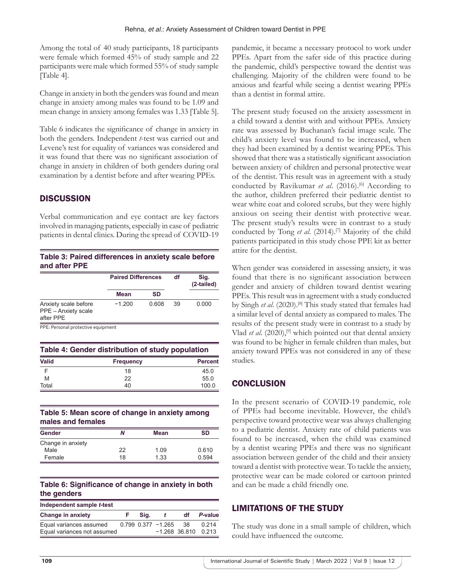Among the total of 40 study participants, 18 participants were female which formed 45% of study sample and 22 participants were male which formed 55% of study sample [Table 4].

Change in anxiety in both the genders was found and mean change in anxiety among males was found to be 1.09 and mean change in anxiety among females was 1.33 [Table 5].

Table 6 indicates the significance of change in anxiety in both the genders. Independent *t*-test was carried out and Levene's test for equality of variances was considered and it was found that there was no significant association of change in anxiety in children of both genders during oral examination by a dentist before and after wearing PPEs.

# **DISCUSSION**

Verbal communication and eye contact are key factors involved in managing patients, especially in case of pediatric patients in dental clinics. During the spread of COVID-19

## **Table 3: Paired differences in anxiety scale before and after PPE**

|                                                          | <b>Paired Differences</b> |           | df | Sig.<br>(2-tailed) |  |
|----------------------------------------------------------|---------------------------|-----------|----|--------------------|--|
|                                                          | Mean                      | <b>SD</b> |    |                    |  |
| Anxiety scale before<br>PPE - Anxiety scale<br>after PPE | $-1.200$                  | 0.608     | 39 | 0.000              |  |

PPE: Personal protective equipment

| Table 4: Gender distribution of study population |                  |                |  |
|--------------------------------------------------|------------------|----------------|--|
| <b>Valid</b>                                     | <b>Frequency</b> | <b>Percent</b> |  |
|                                                  | 18               | 45.0           |  |
| M                                                | 22               | 55.0           |  |
| Total                                            | 40               | 100.0          |  |

## **Table 5: Mean score of change in anxiety among males and females**

| Gender            | Ν  | <b>Mean</b> | SD    |  |
|-------------------|----|-------------|-------|--|
| Change in anxiety |    |             |       |  |
| Male              | 22 | 1.09        | 0.610 |  |
| Female            | 18 | 1.33        | 0.594 |  |

## **Table 6: Significance of change in anxiety in both the genders**

| Independent sample t-test   |  |      |                          |                       |         |
|-----------------------------|--|------|--------------------------|-----------------------|---------|
| <b>Change in anxiety</b>    |  | Sia. |                          | df                    | P-value |
| Equal variances assumed     |  |      | $0.799$ $0.377$ $-1.265$ | .38                   | 0.214   |
| Equal variances not assumed |  |      |                          | $-1.268$ 36.810 0.213 |         |

pandemic, it became a necessary protocol to work under PPEs. Apart from the safer side of this practice during the pandemic, child's perspective toward the dentist was challenging. Majority of the children were found to be anxious and fearful while seeing a dentist wearing PPEs than a dentist in formal attire.

The present study focused on the anxiety assessment in a child toward a dentist with and without PPEs. Anxiety rate was assessed by Buchanan's facial image scale. The child's anxiety level was found to be increased, when they had been examined by a dentist wearing PPEs. This showed that there was a statistically significant association between anxiety of children and personal protective wear of the dentist. This result was in agreement with a study conducted by Ravikumar *et al.* (2016).<sup>[6]</sup> According to the author, children preferred their pediatric dentist to wear white coat and colored scrubs, but they were highly anxious on seeing their dentist with protective wear. The present study's results were in contrast to a study conducted by Tong *et al*. (2014).[7] Majority of the child patients participated in this study chose PPE kit as better attire for the dentist.

When gender was considered in assessing anxiety, it was found that there is no significant association between gender and anxiety of children toward dentist wearing PPEs. This result was in agreement with a study conducted by Singh *et al.* (2020).<sup>[8]</sup> This study stated that females had a similar level of dental anxiety as compared to males. The results of the present study were in contrast to a study by Vlad *et al.* (2020),<sup>[9]</sup> which pointed out that dental anxiety was found to be higher in female children than males, but anxiety toward PPEs was not considered in any of these studies.

# **CONCLUSION**

In the present scenario of COVID-19 pandemic, role of PPEs had become inevitable. However, the child's perspective toward protective wear was always challenging to a pediatric dentist. Anxiety rate of child patients was found to be increased, when the child was examined by a dentist wearing PPEs and there was no significant association between gender of the child and their anxiety toward a dentist with protective wear. To tackle the anxiety, protective wear can be made colored or cartoon printed and can be made a child friendly one.

# LIMITATIONS OF THE STUDY

The study was done in a small sample of children, which could have influenced the outcome.